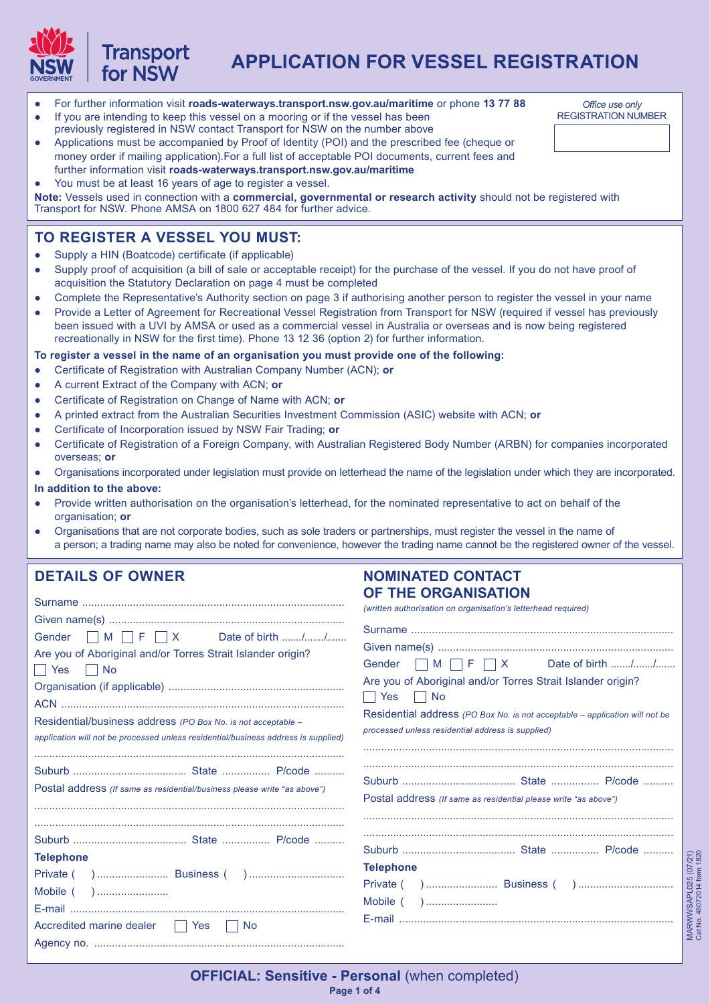

# **APPLICATION FOR VESSEL REGISTRATION**

- For further information visit **roads-waterways.transport.nsw.gov.au/maritime** or phone **13 77 88**
- If you are intending to keep this vessel on a mooring or if the vessel has been previously registered in NSW contact Transport for NSW on the number above
- Applications must be accompanied by Proof of Identity (POI) and the prescribed fee (cheque or money order if mailing application).For a full list of acceptable POI documents, current fees and further information visit **roads-waterways.transport.nsw.gov.au/maritime**
- You must be at least 16 years of age to register a vessel.

**Note:** Vessels used in connection with a **commercial, governmental or research activity** should not be registered with Transport for NSW. Phone AMSA on 1800 627 484 for further advice.

# **TO REGISTER A VESSEL YOU MUST:**

● Supply a HIN (Boatcode) certificate (if applicable)

**Transport** for NSW

- Supply proof of acquisition (a bill of sale or acceptable receipt) for the purchase of the vessel. If you do not have proof of acquisition the Statutory Declaration on page 4 must be completed
- Complete the Representative's Authority section on page 3 if authorising another person to register the vessel in your name
- Provide a Letter of Agreement for Recreational Vessel Registration from Transport for NSW (required if vessel has previously been issued with a UVI by AMSA or used as a commercial vessel in Australia or overseas and is now being registered recreationally in NSW for the first time). Phone 13 12 36 (option 2) for further information.

**To register a vessel in the name of an organisation you must provide one of the following:**

- Certificate of Registration with Australian Company Number (ACN); **or**
- A current Extract of the Company with ACN; **or**
- Certificate of Registration on Change of Name with ACN; **or**
- A printed extract from the Australian Securities Investment Commission (ASIC) website with ACN; **or**
- Certificate of Incorporation issued by NSW Fair Trading; **or**
- Certificate of Registration of a Foreign Company, with Australian Registered Body Number (ARBN) for companies incorporated overseas; **or**
- Organisations incorporated under legislation must provide on letterhead the name of the legislation under which they are incorporated.

#### **In addition to the above:**

- Provide written authorisation on the organisation's letterhead, for the nominated representative to act on behalf of the organisation; **or**
- Organisations that are not corporate bodies, such as sole traders or partnerships, must register the vessel in the name of a person; a trading name may also be noted for convenience, however the trading name cannot be the registered owner of the vessel.

### **DETAILS OF OWNER**

#### **NOMINATED CONTACT OF THE ORGANISATION**

| Gender $\Box$ M $\Box$ F $\Box$ X Date of birth //<br>Are you of Aboriginal and/or Torres Strait Islander origin?<br>Residential/business address (PO Box No. is not acceptable -<br>application will not be processed unless residential/business address is supplied) | (written authorisation on organisation's letterhead required)<br>Gender $\Box$ M $\Box$ F $\Box$ X Date of birth //<br>Are you of Aboriginal and/or Torres Strait Islander origin?<br>    Yes     No<br>Residential address (PO Box No. is not acceptable – application will not be<br>processed unless residential address is supplied) |
|-------------------------------------------------------------------------------------------------------------------------------------------------------------------------------------------------------------------------------------------------------------------------|------------------------------------------------------------------------------------------------------------------------------------------------------------------------------------------------------------------------------------------------------------------------------------------------------------------------------------------|
| Postal address (If same as residential/business please write "as above")                                                                                                                                                                                                | Postal address (If same as residential please write "as above")                                                                                                                                                                                                                                                                          |
| <b>Telephone</b><br>Accredited marine dealer   Yes<br><b>No</b>                                                                                                                                                                                                         | <b>Telephone</b>                                                                                                                                                                                                                                                                                                                         |

*Office use only* REGISTRATION NUMBER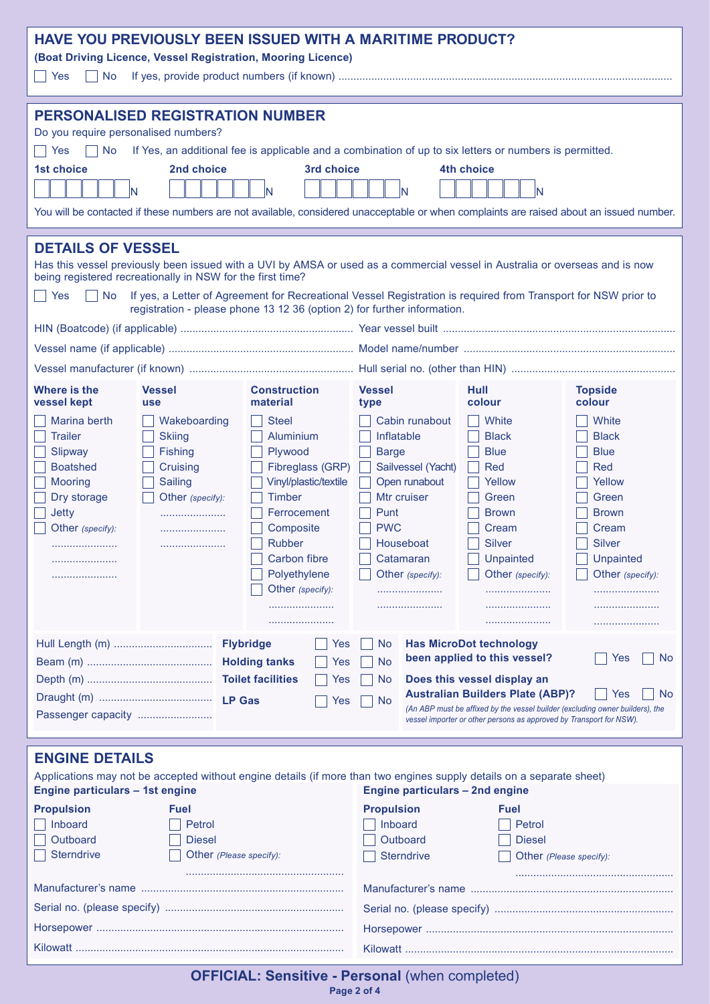| PERSONALISED REGISTRATION NUMBER<br>Do you require personalised numbers?<br><b>No</b><br>If Yes, an additional fee is applicable and a combination of up to six letters or numbers is permitted.<br>Yes<br><b>1st choice</b><br>2nd choice<br>3rd choice<br>4th choice<br>N<br>N<br>IN<br>N<br>You will be contacted if these numbers are not available, considered unacceptable or when complaints are raised about an issued number.                                                                                                                                                                                                                                                                                                                                                                                                                                                                                                                                                                                                                                                                         |  |  |  |  |
|----------------------------------------------------------------------------------------------------------------------------------------------------------------------------------------------------------------------------------------------------------------------------------------------------------------------------------------------------------------------------------------------------------------------------------------------------------------------------------------------------------------------------------------------------------------------------------------------------------------------------------------------------------------------------------------------------------------------------------------------------------------------------------------------------------------------------------------------------------------------------------------------------------------------------------------------------------------------------------------------------------------------------------------------------------------------------------------------------------------|--|--|--|--|
| <b>DETAILS OF VESSEL</b><br>Has this vessel previously been issued with a UVI by AMSA or used as a commercial vessel in Australia or overseas and is now<br>being registered recreationally in NSW for the first time?<br>If yes, a Letter of Agreement for Recreational Vessel Registration is required from Transport for NSW prior to<br>Yes<br>No<br>registration - please phone 13 12 36 (option 2) for further information.                                                                                                                                                                                                                                                                                                                                                                                                                                                                                                                                                                                                                                                                              |  |  |  |  |
| <b>Where is the</b><br><b>Vessel</b><br>Hull<br><b>Construction</b><br><b>Vessel</b><br><b>Topside</b><br>material<br>colour<br>vessel kept<br>colour<br>type<br><b>use</b><br>White<br>Marina berth<br>Wakeboarding<br><b>Steel</b><br>Cabin runabout<br>White<br><b>Trailer</b><br><b>Aluminium</b><br>Inflatable<br><b>Black</b><br><b>Black</b><br><b>Skiing</b><br>Plywood<br>Slipway<br><b>Fishing</b><br><b>Barge</b><br><b>Blue</b><br><b>Blue</b><br><b>Boatshed</b><br>Fibreglass (GRP)<br>Sailvessel (Yacht)<br><b>Red</b><br>Cruising<br>Red<br>Vinyl/plastic/textile<br>Open runabout<br><b>Mooring</b><br>Yellow<br>Yellow<br>Sailing<br><b>Timber</b><br>Mtr cruiser<br>Dry storage<br>Other (specify):<br>Green<br>Green<br><b>Jetty</b><br>Ferrocement<br>Punt<br><b>Brown</b><br><b>Brown</b><br><b>PWC</b><br>Composite<br>Cream<br>Cream<br>Other (specify):<br><b>Silver</b><br><b>Rubber</b><br>Houseboat<br><b>Silver</b><br><b>Carbon fibre</b><br>Catamaran<br>Unpainted<br>Unpainted<br>Polyethylene<br>Other (specify):<br>Other (specify):<br>Other (specify):<br>Other (specify): |  |  |  |  |
| <b>Flybridge</b><br><b>Has MicroDot technology</b><br>Yes<br>No<br>been applied to this vessel?<br>Yes<br><b>No</b><br><b>Holding tanks</b><br><b>No</b><br>Yes<br>Does this vessel display an<br><b>No</b><br>Yes<br><b>Australian Builders Plate (ABP)?</b><br>No.<br>Yes<br><b>No</b><br>Yes<br>(An ABP must be affixed by the vessel builder (excluding owner builders), the<br>Passenger capacity<br>vessel importer or other persons as approved by Transport for NSW).                                                                                                                                                                                                                                                                                                                                                                                                                                                                                                                                                                                                                                  |  |  |  |  |
| <b>ENGINE DETAILS</b><br>Applications may not be accepted without engine details (if more than two engines supply details on a separate sheet)<br>Engine particulars - 1st engine<br><b>Engine particulars - 2nd engine</b>                                                                                                                                                                                                                                                                                                                                                                                                                                                                                                                                                                                                                                                                                                                                                                                                                                                                                    |  |  |  |  |
| <b>Propulsion</b><br><b>Propulsion</b><br><b>Fuel</b><br><b>Fuel</b><br>Inboard<br>Inboard<br>Petrol<br>Petrol<br>Outboard<br>Outboard<br><b>Diesel</b><br><b>Diesel</b><br><b>Sterndrive</b><br>Other (Please specify):<br><b>Sterndrive</b><br>Other (Please specify):                                                                                                                                                                                                                                                                                                                                                                                                                                                                                                                                                                                                                                                                                                                                                                                                                                       |  |  |  |  |
|                                                                                                                                                                                                                                                                                                                                                                                                                                                                                                                                                                                                                                                                                                                                                                                                                                                                                                                                                                                                                                                                                                                |  |  |  |  |

**OFFICIAL: Sensitive - Personal** (when completed)

**Page 2 of 4**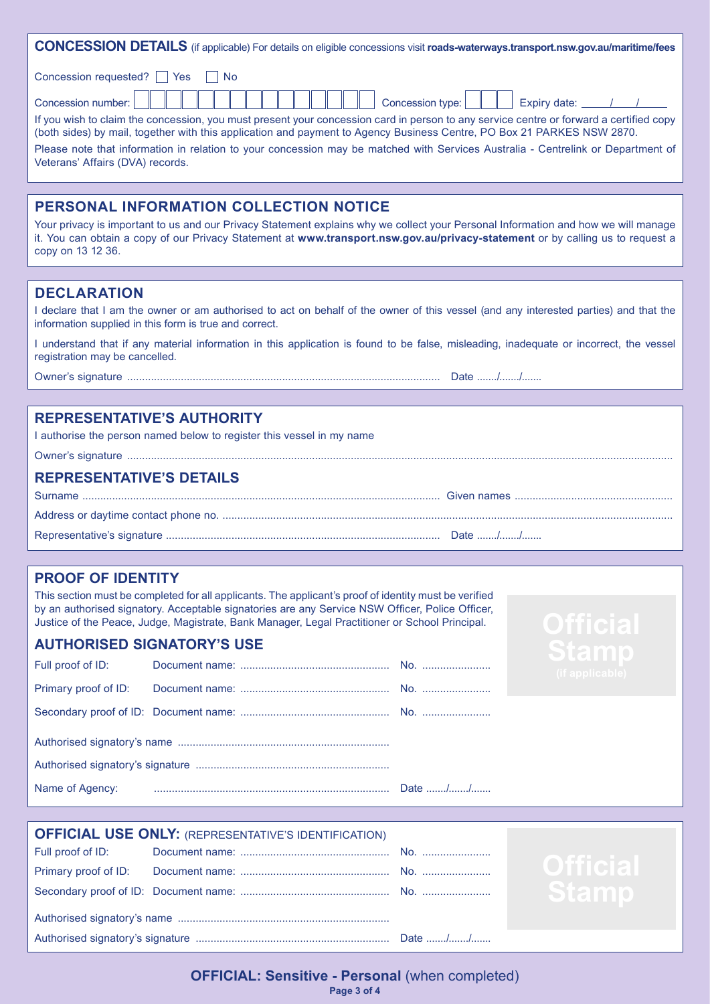| <b>CONCESSION DETAILS</b> (if applicable) For details on eligible concessions visit roads-waterways.transport.nsw.gov.au/maritime/fees                                                                                                                           |  |  |
|------------------------------------------------------------------------------------------------------------------------------------------------------------------------------------------------------------------------------------------------------------------|--|--|
| Concession requested? <b>P</b> Yes<br>l I No                                                                                                                                                                                                                     |  |  |
| Concession number: $\ \;\;\ $<br>.<br>$\mathbb{L}$                                                                                                                                                                                                               |  |  |
| If you wish to claim the concession, you must present your concession card in person to any service centre or forward a certified copy<br>(both sides) by mail, together with this application and payment to Agency Business Centre, PO Box 21 PARKES NSW 2870. |  |  |
| Please note that information in relation to your concession may be matched with Services Australia - Centrelink or Department of<br>Veterans' Affairs (DVA) records.                                                                                             |  |  |
|                                                                                                                                                                                                                                                                  |  |  |

# **PERSONAL INFORMATION COLLECTION NOTICE**

Your privacy is important to us and our Privacy Statement explains why we collect your Personal Information and how we will manage it. You can obtain a copy of our Privacy Statement at **www.transport.nsw.gov.au/privacy-statement** or by calling us to request a copy on 13 12 36.

### **DECLARATION**

I declare that I am the owner or am authorised to act on behalf of the owner of this vessel (and any interested parties) and that the information supplied in this form is true and correct.

I understand that if any material information in this application is found to be false, misleading, inadequate or incorrect, the vessel registration may be cancelled.

Owner's signature ......................................................................................................... Date ......./......./.......

Owner's signature .......................................................................................................................................................................................

# **REPRESENTATIVE'S AUTHORITY**

I authorise the person named below to register this vessel in my name

#### **REPRESENTATIVE'S DETAILS**

### **PROOF OF IDENTITY**

This section must be completed for all applicants. The applicant's proof of identity must be verified by an authorised signatory. Acceptable signatories are any Service NSW Officer, Police Officer, Justice of the Peace, Judge, Magistrate, Bank Manager, Legal Practitioner or School Principal.

#### **AUTHORISED SIGNATORY'S USE**

| Full proof of ID:    |  |         |  |
|----------------------|--|---------|--|
| Primary proof of ID: |  |         |  |
|                      |  |         |  |
|                      |  |         |  |
|                      |  |         |  |
|                      |  | Date // |  |

| <b>OFFICIAL USE ONLY: (REPRESENTATIVE'S IDENTIFICATION)</b> |  |
|-------------------------------------------------------------|--|
|                                                             |  |
|                                                             |  |
|                                                             |  |
|                                                             |  |
|                                                             |  |

**Page 3 of 4 OFFICIAL: Sensitive - Personal (when completed)**